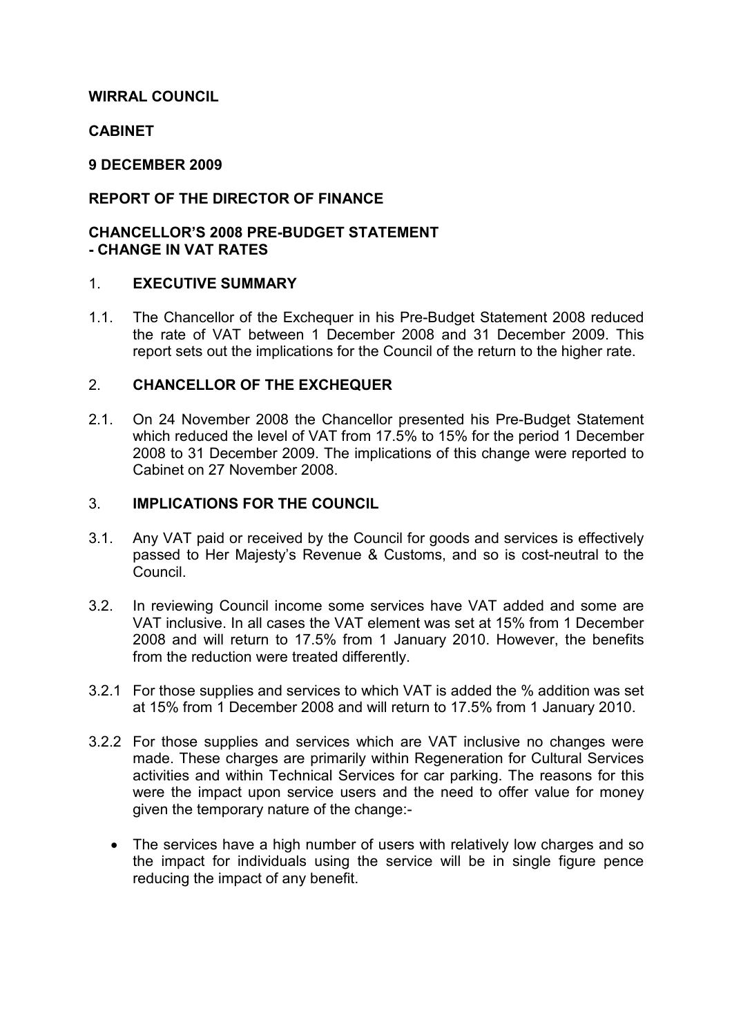### WIRRAL COUNCIL

### CABINET

### 9 DECEMBER 2009

## REPORT OF THE DIRECTOR OF FINANCE

### CHANCELLOR'S 2008 PRE-BUDGET STATEMENT - CHANGE IN VAT RATES

### 1. EXECUTIVE SUMMARY

1.1. The Chancellor of the Exchequer in his Pre-Budget Statement 2008 reduced the rate of VAT between 1 December 2008 and 31 December 2009. This report sets out the implications for the Council of the return to the higher rate.

### 2. CHANCELLOR OF THE EXCHEQUER

2.1. On 24 November 2008 the Chancellor presented his Pre-Budget Statement which reduced the level of VAT from 17.5% to 15% for the period 1 December 2008 to 31 December 2009. The implications of this change were reported to Cabinet on 27 November 2008.

### 3. IMPLICATIONS FOR THE COUNCIL

- 3.1. Any VAT paid or received by the Council for goods and services is effectively passed to Her Majesty's Revenue & Customs, and so is cost-neutral to the Council.
- 3.2. In reviewing Council income some services have VAT added and some are VAT inclusive. In all cases the VAT element was set at 15% from 1 December 2008 and will return to 17.5% from 1 January 2010. However, the benefits from the reduction were treated differently.
- 3.2.1 For those supplies and services to which VAT is added the % addition was set at 15% from 1 December 2008 and will return to 17.5% from 1 January 2010.
- 3.2.2 For those supplies and services which are VAT inclusive no changes were made. These charges are primarily within Regeneration for Cultural Services activities and within Technical Services for car parking. The reasons for this were the impact upon service users and the need to offer value for money given the temporary nature of the change:-
	- The services have a high number of users with relatively low charges and so the impact for individuals using the service will be in single figure pence reducing the impact of any benefit.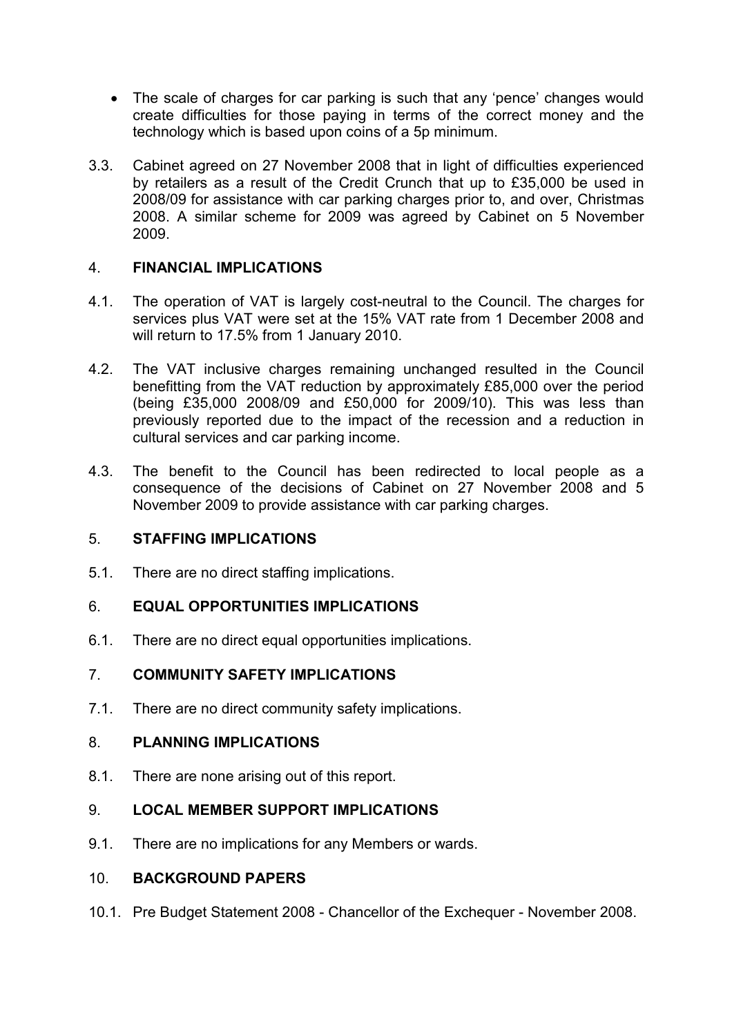- The scale of charges for car parking is such that any 'pence' changes would create difficulties for those paying in terms of the correct money and the technology which is based upon coins of a 5p minimum.
- 3.3. Cabinet agreed on 27 November 2008 that in light of difficulties experienced by retailers as a result of the Credit Crunch that up to £35,000 be used in 2008/09 for assistance with car parking charges prior to, and over, Christmas 2008. A similar scheme for 2009 was agreed by Cabinet on 5 November 2009.

## 4. FINANCIAL IMPLICATIONS

- 4.1. The operation of VAT is largely cost-neutral to the Council. The charges for services plus VAT were set at the 15% VAT rate from 1 December 2008 and will return to 17.5% from 1 January 2010.
- 4.2. The VAT inclusive charges remaining unchanged resulted in the Council benefitting from the VAT reduction by approximately £85,000 over the period (being £35,000 2008/09 and £50,000 for 2009/10). This was less than previously reported due to the impact of the recession and a reduction in cultural services and car parking income.
- 4.3. The benefit to the Council has been redirected to local people as a consequence of the decisions of Cabinet on 27 November 2008 and 5 November 2009 to provide assistance with car parking charges.

# 5. STAFFING IMPLICATIONS

5.1. There are no direct staffing implications.

## 6. EQUAL OPPORTUNITIES IMPLICATIONS

6.1. There are no direct equal opportunities implications.

### 7. COMMUNITY SAFETY IMPLICATIONS

7.1. There are no direct community safety implications.

### 8. PLANNING IMPLICATIONS

8.1. There are none arising out of this report.

### 9. LOCAL MEMBER SUPPORT IMPLICATIONS

9.1. There are no implications for any Members or wards.

### 10. BACKGROUND PAPERS

10.1. Pre Budget Statement 2008 - Chancellor of the Exchequer - November 2008.